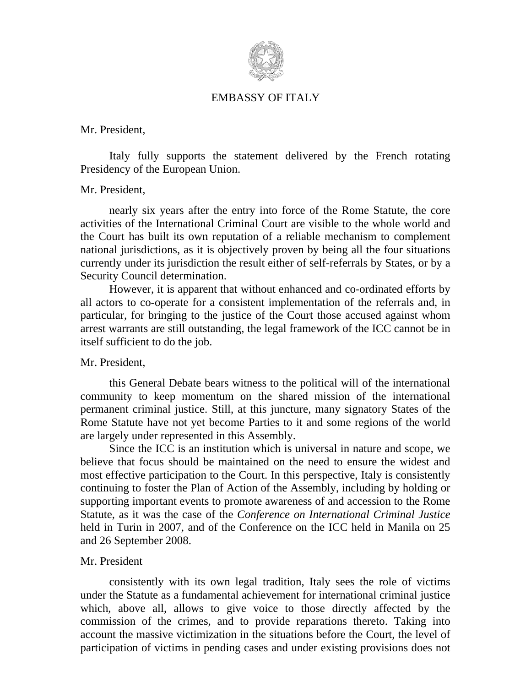

# EMBASSY OF ITALY

Mr. President,

Italy fully supports the statement delivered by the French rotating Presidency of the European Union.

## Mr. President,

nearly six years after the entry into force of the Rome Statute, the core activities of the International Criminal Court are visible to the whole world and the Court has built its own reputation of a reliable mechanism to complement national jurisdictions, as it is objectively proven by being all the four situations currently under its jurisdiction the result either of self-referrals by States, or by a Security Council determination.

 However, it is apparent that without enhanced and co-ordinated efforts by all actors to co-operate for a consistent implementation of the referrals and, in particular, for bringing to the justice of the Court those accused against whom arrest warrants are still outstanding, the legal framework of the ICC cannot be in itself sufficient to do the job.

## Mr. President,

this General Debate bears witness to the political will of the international community to keep momentum on the shared mission of the international permanent criminal justice. Still, at this juncture, many signatory States of the Rome Statute have not yet become Parties to it and some regions of the world are largely under represented in this Assembly.

Since the ICC is an institution which is universal in nature and scope, we believe that focus should be maintained on the need to ensure the widest and most effective participation to the Court. In this perspective, Italy is consistently continuing to foster the Plan of Action of the Assembly, including by holding or supporting important events to promote awareness of and accession to the Rome Statute, as it was the case of the *Conference on International Criminal Justice* held in Turin in 2007, and of the Conference on the ICC held in Manila on 25 and 26 September 2008.

## Mr. President

consistently with its own legal tradition, Italy sees the role of victims under the Statute as a fundamental achievement for international criminal justice which, above all, allows to give voice to those directly affected by the commission of the crimes, and to provide reparations thereto. Taking into account the massive victimization in the situations before the Court, the level of participation of victims in pending cases and under existing provisions does not